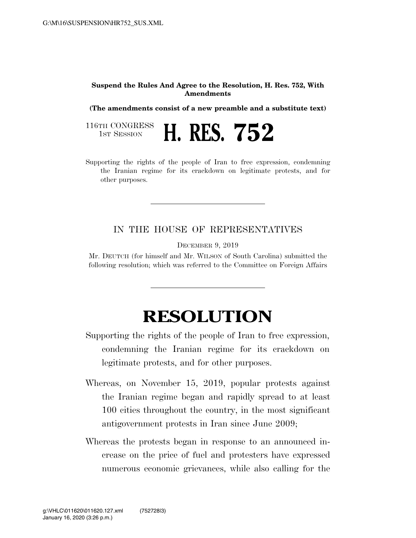## **Suspend the Rules And Agree to the Resolution, H. Res. 752, With Amendments**

**(The amendments consist of a new preamble and a substitute text)** 

116TH CONGRESS<br>1st Session 1ST SESSION **H. RES. 752** 

Supporting the rights of the people of Iran to free expression, condemning the Iranian regime for its crackdown on legitimate protests, and for other purposes.

## IN THE HOUSE OF REPRESENTATIVES

DECEMBER 9, 2019

Mr. DEUTCH (for himself and Mr. WILSON of South Carolina) submitted the following resolution; which was referred to the Committee on Foreign Affairs

## **RESOLUTION**

Supporting the rights of the people of Iran to free expression, condemning the Iranian regime for its crackdown on legitimate protests, and for other purposes.

- Whereas, on November 15, 2019, popular protests against the Iranian regime began and rapidly spread to at least 100 cities throughout the country, in the most significant antigovernment protests in Iran since June 2009;
- Whereas the protests began in response to an announced increase on the price of fuel and protesters have expressed numerous economic grievances, while also calling for the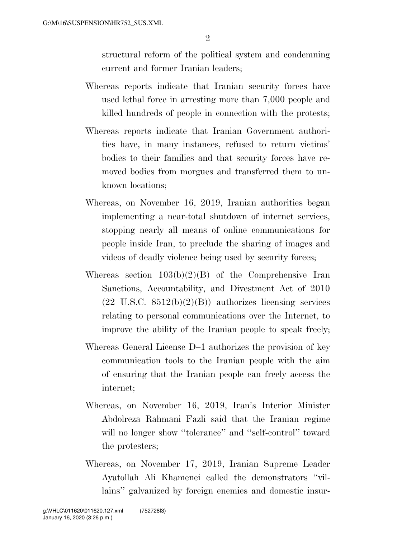structural reform of the political system and condemning current and former Iranian leaders;

- Whereas reports indicate that Iranian security forces have used lethal force in arresting more than 7,000 people and killed hundreds of people in connection with the protests;
- Whereas reports indicate that Iranian Government authorities have, in many instances, refused to return victims' bodies to their families and that security forces have removed bodies from morgues and transferred them to unknown locations;
- Whereas, on November 16, 2019, Iranian authorities began implementing a near-total shutdown of internet services, stopping nearly all means of online communications for people inside Iran, to preclude the sharing of images and videos of deadly violence being used by security forces;
- Whereas section  $103(b)(2)(B)$  of the Comprehensive Iran Sanctions, Accountability, and Divestment Act of 2010  $(22 \text{ U.S.C. } 8512(b)(2)(B))$  authorizes licensing services relating to personal communications over the Internet, to improve the ability of the Iranian people to speak freely;
- Whereas General License D–1 authorizes the provision of key communication tools to the Iranian people with the aim of ensuring that the Iranian people can freely access the internet;
- Whereas, on November 16, 2019, Iran's Interior Minister Abdolreza Rahmani Fazli said that the Iranian regime will no longer show "tolerance" and "self-control" toward the protesters;
- Whereas, on November 17, 2019, Iranian Supreme Leader Ayatollah Ali Khamenei called the demonstrators ''villains'' galvanized by foreign enemies and domestic insur-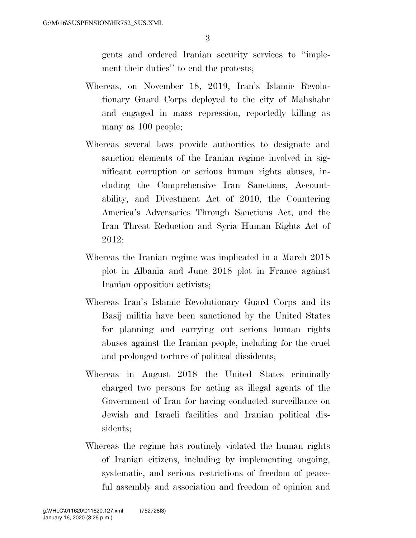gents and ordered Iranian security services to ''implement their duties'' to end the protests;

- Whereas, on November 18, 2019, Iran's Islamic Revolutionary Guard Corps deployed to the city of Mahshahr and engaged in mass repression, reportedly killing as many as 100 people;
- Whereas several laws provide authorities to designate and sanction elements of the Iranian regime involved in significant corruption or serious human rights abuses, including the Comprehensive Iran Sanctions, Accountability, and Divestment Act of 2010, the Countering America's Adversaries Through Sanctions Act, and the Iran Threat Reduction and Syria Human Rights Act of 2012;
- Whereas the Iranian regime was implicated in a March 2018 plot in Albania and June 2018 plot in France against Iranian opposition activists;
- Whereas Iran's Islamic Revolutionary Guard Corps and its Basij militia have been sanctioned by the United States for planning and carrying out serious human rights abuses against the Iranian people, including for the cruel and prolonged torture of political dissidents;
- Whereas in August 2018 the United States criminally charged two persons for acting as illegal agents of the Government of Iran for having conducted surveillance on Jewish and Israeli facilities and Iranian political dissidents;
- Whereas the regime has routinely violated the human rights of Iranian citizens, including by implementing ongoing, systematic, and serious restrictions of freedom of peaceful assembly and association and freedom of opinion and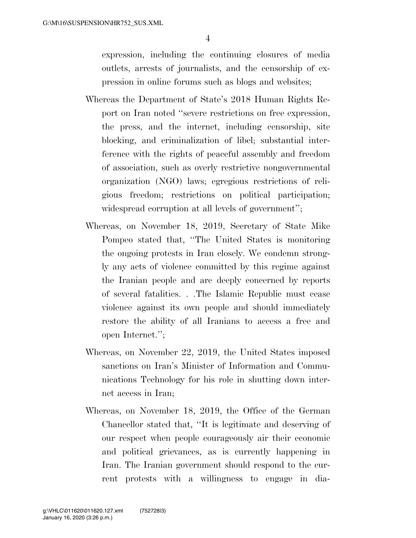expression, including the continuing closures of media outlets, arrests of journalists, and the censorship of expression in online forums such as blogs and websites;

- Whereas the Department of State's 2018 Human Rights Report on Iran noted ''severe restrictions on free expression, the press, and the internet, including censorship, site blocking, and criminalization of libel; substantial interference with the rights of peaceful assembly and freedom of association, such as overly restrictive nongovernmental organization (NGO) laws; egregious restrictions of religious freedom; restrictions on political participation; widespread corruption at all levels of government'';
- Whereas, on November 18, 2019, Secretary of State Mike Pompeo stated that, ''The United States is monitoring the ongoing protests in Iran closely. We condemn strongly any acts of violence committed by this regime against the Iranian people and are deeply concerned by reports of several fatalities. . .The Islamic Republic must cease violence against its own people and should immediately restore the ability of all Iranians to access a free and open Internet.'';
- Whereas, on November 22, 2019, the United States imposed sanctions on Iran's Minister of Information and Communications Technology for his role in shutting down internet access in Iran;
- Whereas, on November 18, 2019, the Office of the German Chancellor stated that, ''It is legitimate and deserving of our respect when people courageously air their economic and political grievances, as is currently happening in Iran. The Iranian government should respond to the current protests with a willingness to engage in dia-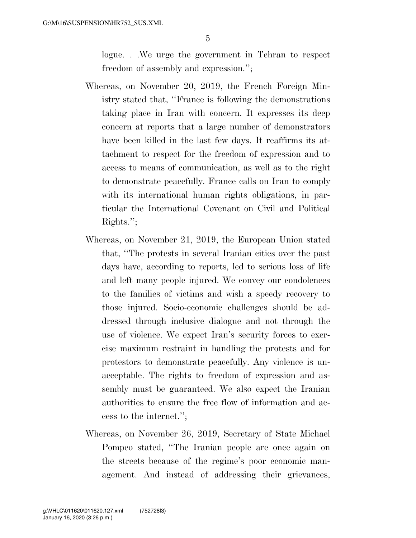logue. . .We urge the government in Tehran to respect freedom of assembly and expression.'';

- Whereas, on November 20, 2019, the French Foreign Ministry stated that, ''France is following the demonstrations taking place in Iran with concern. It expresses its deep concern at reports that a large number of demonstrators have been killed in the last few days. It reaffirms its attachment to respect for the freedom of expression and to access to means of communication, as well as to the right to demonstrate peacefully. France calls on Iran to comply with its international human rights obligations, in particular the International Covenant on Civil and Political Rights.'';
- Whereas, on November 21, 2019, the European Union stated that, ''The protests in several Iranian cities over the past days have, according to reports, led to serious loss of life and left many people injured. We convey our condolences to the families of victims and wish a speedy recovery to those injured. Socio-economic challenges should be addressed through inclusive dialogue and not through the use of violence. We expect Iran's security forces to exercise maximum restraint in handling the protests and for protestors to demonstrate peacefully. Any violence is unacceptable. The rights to freedom of expression and assembly must be guaranteed. We also expect the Iranian authorities to ensure the free flow of information and access to the internet.'';
- Whereas, on November 26, 2019, Secretary of State Michael Pompeo stated, ''The Iranian people are once again on the streets because of the regime's poor economic management. And instead of addressing their grievances,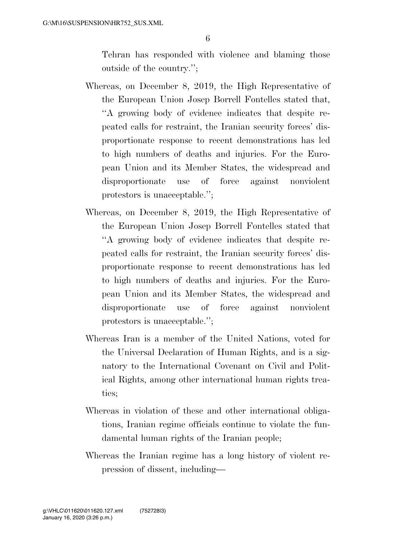Tehran has responded with violence and blaming those outside of the country.'';

- Whereas, on December 8, 2019, the High Representative of the European Union Josep Borrell Fontelles stated that, ''A growing body of evidence indicates that despite repeated calls for restraint, the Iranian security forces' disproportionate response to recent demonstrations has led to high numbers of deaths and injuries. For the European Union and its Member States, the widespread and disproportionate use of force against nonviolent protestors is unacceptable.'';
- Whereas, on December 8, 2019, the High Representative of the European Union Josep Borrell Fontelles stated that ''A growing body of evidence indicates that despite repeated calls for restraint, the Iranian security forces' disproportionate response to recent demonstrations has led to high numbers of deaths and injuries. For the European Union and its Member States, the widespread and disproportionate use of force against nonviolent protestors is unacceptable.'';
- Whereas Iran is a member of the United Nations, voted for the Universal Declaration of Human Rights, and is a signatory to the International Covenant on Civil and Political Rights, among other international human rights treaties;
- Whereas in violation of these and other international obligations, Iranian regime officials continue to violate the fundamental human rights of the Iranian people;
- Whereas the Iranian regime has a long history of violent repression of dissent, including—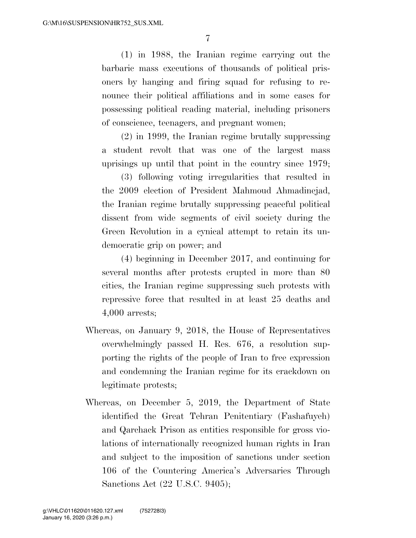(1) in 1988, the Iranian regime carrying out the barbaric mass executions of thousands of political prisoners by hanging and firing squad for refusing to renounce their political affiliations and in some cases for possessing political reading material, including prisoners of conscience, teenagers, and pregnant women;

(2) in 1999, the Iranian regime brutally suppressing a student revolt that was one of the largest mass uprisings up until that point in the country since 1979;

(3) following voting irregularities that resulted in the 2009 election of President Mahmoud Ahmadinejad, the Iranian regime brutally suppressing peaceful political dissent from wide segments of civil society during the Green Revolution in a cynical attempt to retain its undemocratic grip on power; and

(4) beginning in December 2017, and continuing for several months after protests erupted in more than 80 cities, the Iranian regime suppressing such protests with repressive force that resulted in at least 25 deaths and 4,000 arrests;

- Whereas, on January 9, 2018, the House of Representatives overwhelmingly passed H. Res. 676, a resolution supporting the rights of the people of Iran to free expression and condemning the Iranian regime for its crackdown on legitimate protests;
- Whereas, on December 5, 2019, the Department of State identified the Great Tehran Penitentiary (Fashafuyeh) and Qarchack Prison as entities responsible for gross violations of internationally recognized human rights in Iran and subject to the imposition of sanctions under section 106 of the Countering America's Adversaries Through Sanctions Act (22 U.S.C. 9405);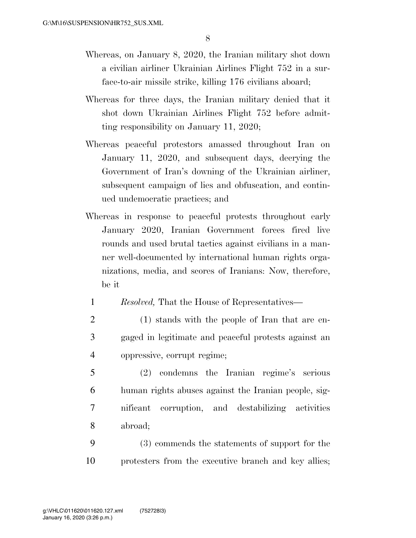- Whereas, on January 8, 2020, the Iranian military shot down a civilian airliner Ukrainian Airlines Flight 752 in a surface-to-air missile strike, killing 176 civilians aboard;
- Whereas for three days, the Iranian military denied that it shot down Ukrainian Airlines Flight 752 before admitting responsibility on January 11, 2020;
- Whereas peaceful protestors amassed throughout Iran on January 11, 2020, and subsequent days, decrying the Government of Iran's downing of the Ukrainian airliner, subsequent campaign of lies and obfuscation, and continued undemocratic practices; and
- Whereas in response to peaceful protests throughout early January 2020, Iranian Government forces fired live rounds and used brutal tactics against civilians in a manner well-documented by international human rights organizations, media, and scores of Iranians: Now, therefore, be it
	- 1 *Resolved,* That the House of Representatives—
	- 2 (1) stands with the people of Iran that are en-3 gaged in legitimate and peaceful protests against an 4 oppressive, corrupt regime;
- 5 (2) condemns the Iranian regime's serious 6 human rights abuses against the Iranian people, sig-7 nificant corruption, and destabilizing activities 8 abroad;
- 9 (3) commends the statements of support for the 10 protesters from the executive branch and key allies;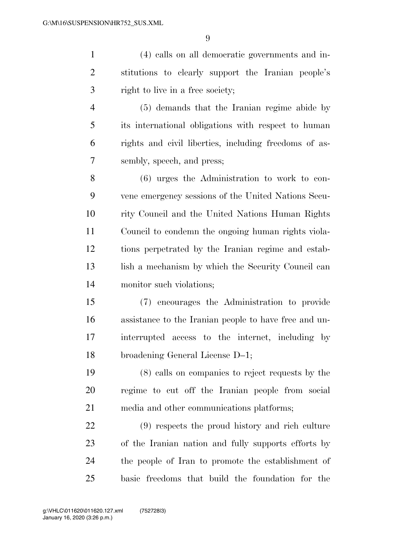(4) calls on all democratic governments and in- stitutions to clearly support the Iranian people's right to live in a free society; (5) demands that the Iranian regime abide by

 its international obligations with respect to human rights and civil liberties, including freedoms of as-sembly, speech, and press;

 (6) urges the Administration to work to con- vene emergency sessions of the United Nations Secu- rity Council and the United Nations Human Rights Council to condemn the ongoing human rights viola- tions perpetrated by the Iranian regime and estab-13 lish a mechanism by which the Security Council can monitor such violations;

 (7) encourages the Administration to provide assistance to the Iranian people to have free and un- interrupted access to the internet, including by broadening General License D–1;

 (8) calls on companies to reject requests by the regime to cut off the Iranian people from social media and other communications platforms;

 (9) respects the proud history and rich culture of the Iranian nation and fully supports efforts by the people of Iran to promote the establishment of basic freedoms that build the foundation for the